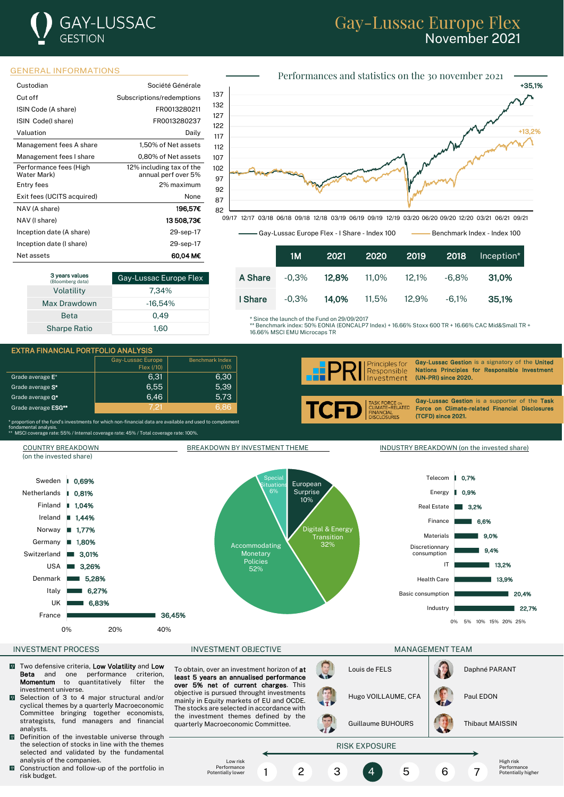## **GAY-LUSSAC** GESTION

## Gay-Lussac Europe Flex November 2021



| Custodian                  | Société Générale          |
|----------------------------|---------------------------|
| Cut off                    | Subscriptions/redemptions |
| ISIN Code (A share)        | FR0013280211              |
| ISIN Code(I share)         | FR0013280237              |
| Valuation                  | Daily                     |
| Management fees A share    | 1,50% of Net assets       |
| Management fees I share    | 0,80% of Net assets       |
| Performance fees (High     | 12% including tax of the  |
| Water Mark)                | annual perf over 5%       |
| Entry fees                 | 2% maximum                |
| Exit fees (UCITS acquired) | None                      |
| NAV (A share)              | 196.57€                   |
| NAV (I share)              | 13508.73€                 |
| Inception date (A share)   | 29-sep-17                 |
| Inception date (I share)   | 29-sep-17                 |
| Net assets                 | 60.04 M€                  |

| 3 years values<br>(Bloomberg data) | Gay-Lussac Europe Flex |
|------------------------------------|------------------------|
| Volatility                         | 7.34%                  |
| Max Drawdown                       | $-16.54%$              |
| <b>Beta</b>                        | 0.49                   |
| <b>Sharpe Ratio</b>                | 1.60                   |



-<br>09/17 12/17 03/18 06/18 09/18 12/18 03/19 06/19 09/19 12/19 03/20 06/20 09/20 12/20 03/21 06/21 09/21

Gay-Lussac Europe Flex - I Share - Index 100 - Benchmark Index - Index 100

|         | 1M       | 2021  | 2020  | 2019     | 2018     | Inception* |
|---------|----------|-------|-------|----------|----------|------------|
| A Share | $-0.3\%$ | 12.8% | 11,0% | $12.1\%$ | -6.8%    | 31.0%      |
| I Share | $-0.3\%$ | 14.0% | 11,5% | 12.9%    | $-6.1\%$ | 35.1%      |

Since the launch of the Fund on 29/09/2017

\*\* Benchmark index: 50% EONIA (EONCALP7 Index) + 16.66% Stoxx 600 TR + 16.66% CAC Mid&Small TR + 16.66% MSCI EMU Microcaps TR

i





Gay-Lussac Gestion is a signatory of the United Principles for Nations Principles for Responsible Investment (UN-PRI) since 2020.

> Gay-Lussac Gestion is a supporter of the Task Force on Climate-related Financial Disclosures (TCFD) since 2021.

\* proportion of the fund's investments for which non-financial data are available and used to complement<br>fondamental analysis.<br>\*\* MSCI coverage rate: 55% / Internal coverage rate: 45% / Total coverage rate: 100%.



- $\sqrt{2}$ Two defensive criteria, Low Volatility and Low Beta and one performance criterion, Momentum to quantitatively filter the investment universe.
- Selection of 3 to 4 major structural and/or  $\overline{0}$ cyclical themes by a quarterly Macroeconomic Committee bringing together economists, strategists, fund managers and financial analysts.
- Definition of the investable universe through the selection of stocks in line with the themes selected and validated by the fundamental analysis of the companies.
- $\blacksquare$  Construction and follow-up of the portfolio in risk budget.